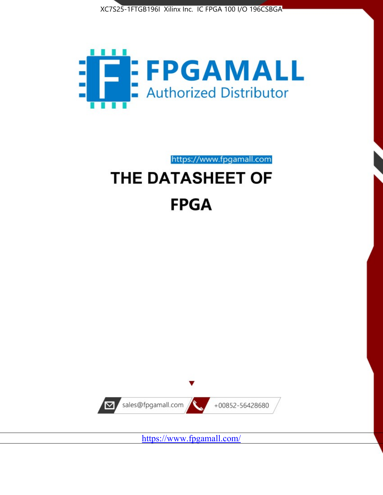



https://www.fpgamall.com

# THE DATASHEET OF **FPGA**



<https://www.fpgamall.com/>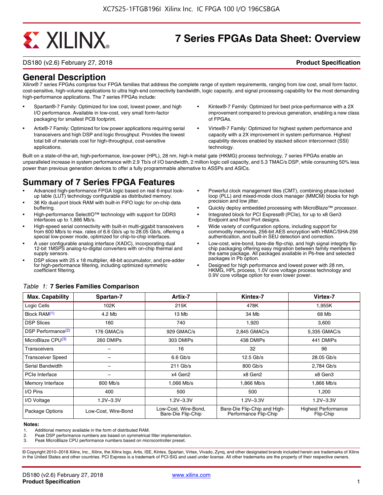# **EXALINX**

# **7 Series FPGAs Data Sheet: Overview**

DS180 (v2.6) February 27, 2018 **Product Specification**

## **General Description**

Xilinx® 7 series FPGAs comprise four FPGA families that address the complete range of system requirements, ranging from low cost, small form factor, cost-sensitive, high-volume applications to ultra high-end connectivity bandwidth, logic capacity, and signal processing capability for the most demanding high-performance applications. The 7 series FPGAs include:

- Spartan®-7 Family: Optimized for low cost, lowest power, and high I/O performance. Available in low-cost, very small form-factor packaging for smallest PCB footprint.
- Artix®-7 Family: Optimized for low power applications requiring serial transceivers and high DSP and logic throughput. Provides the lowest total bill of materials cost for high-throughput, cost-sensitive applications.
- Kintex®-7 Family: Optimized for best price-performance with a 2X improvement compared to previous generation, enabling a new class of FPGAs.
- Virtex®-7 Family: Optimized for highest system performance and capacity with a 2X improvement in system performance. Highest capability devices enabled by stacked silicon interconnect (SSI) technology

Built on a state-of-the-art, high-performance, low-power (HPL), 28 nm, high-k metal gate (HKMG) process technology, 7 series FPGAs enable an unparalleled increase in system performance with 2.9 Tb/s of I/O bandwidth, 2 million logic cell capacity, and 5.3 TMAC/s DSP, while consuming 50% less power than previous generation devices to offer a fully programmable alternative to ASSPs and ASICs.

# **Summary of 7 Series FPGA Features**

- Advanced high-performance FPGA logic based on real 6-input lookup table (LUT) technology configurable as distributed memory.
- 36 Kb dual-port block RAM with built-in FIFO logic for on-chip data buffering.
- High-performance SelectIO™ technology with support for DDR3 interfaces up to 1,866 Mb/s.
- High-speed serial connectivity with built-in multi-gigabit transceivers from 600 Mb/s to max. rates of 6.6 Gb/s up to 28.05 Gb/s, offering a special low-power mode, optimized for chip-to-chip interfaces.
- A user configurable analog interface (XADC), incorporating dual 12-bit 1MSPS analog-to-digital converters with on-chip thermal and supply sensors.
- DSP slices with 25 x 18 multiplier, 48-bit accumulator, and pre-adder for high-performance filtering, including optimized symmetric coefficient filtering.
- Powerful clock management tiles (CMT), combining phase-locked loop (PLL) and mixed-mode clock manager (MMCM) blocks for high precision and low jitter.
- Quickly deploy embedded processing with MicroBlaze™ processor.
- Integrated block for PCI Express® (PCIe), for up to x8 Gen3 Endpoint and Root Port designs.
- Wide variety of configuration options, including support for commodity memories, 256-bit AES encryption with HMAC/SHA-256 authentication, and built-in SEU detection and correction.
- Low-cost, wire-bond, bare-die flip-chip, and high signal integrity flipchip packaging offering easy migration between family members in the same package. All packages available in Pb-free and selected packages in Pb option.
- Designed for high performance and lowest power with 28 nm, HKMG, HPL process, 1.0V core voltage process technology and 0.9V core voltage option for even lower power.

| <b>Max. Capability</b>         | Spartan-7           | Artix-7                                    | Kintex-7                                              | Virtex-7                                |
|--------------------------------|---------------------|--------------------------------------------|-------------------------------------------------------|-----------------------------------------|
| Logic Cells                    | 102K                | 215K                                       | 478K                                                  | 1,955K                                  |
| Block RAM <sup>(1)</sup>       | 4.2 Mb              | 13 Mb                                      | 34 Mb                                                 | 68 Mb                                   |
| <b>DSP Slices</b>              | 160                 | 740                                        | 1,920                                                 | 3,600                                   |
| DSP Performance <sup>(2)</sup> | 176 GMAC/s          | 929 GMAC/s                                 | 2.845 GMAC/s                                          | 5,335 GMAC/s                            |
| MicroBlaze CPU(3)              | 260 DMIPs           | 303 DMIPs                                  | 438 DMIPs                                             | 441 DMIPs                               |
| Transceivers                   |                     | 16                                         | 32                                                    | 96                                      |
| <b>Transceiver Speed</b>       |                     | $6.6$ Gb/s                                 | $12.5$ Gb/s                                           | 28.05 Gb/s                              |
| Serial Bandwidth               |                     | $211$ Gb/s                                 | 800 Gb/s                                              | 2,784 Gb/s                              |
| PCIe Interface                 |                     | x4 Gen2                                    | x8 Gen2                                               | x8 Gen3                                 |
| Memory Interface               | 800 Mb/s            | 1.066 Mb/s                                 | 1,866 Mb/s                                            | 1,866 Mb/s                              |
| I/O Pins                       | 400                 | 500                                        | 500                                                   | 1,200                                   |
| I/O Voltage                    | $1.2V - 3.3V$       | $1.2V - 3.3V$                              | $1.2V - 3.3V$                                         | $1.2V - 3.3V$                           |
| Package Options                | Low-Cost. Wire-Bond | Low-Cost, Wire-Bond,<br>Bare-Die Flip-Chip | Bare-Die Flip-Chip and High-<br>Performance Flip-Chip | <b>Highest Performance</b><br>Flip-Chip |

#### *Table 1:* **7 Series Families Comparison**

#### **Notes:**

1. Additional memory available in the form of distributed RAM.

2. Peak DSP performance numbers are based on symmetrical filter implementation.<br>3. Peak MicroBlaze CPU performance numbers based on microcontroller preset.

Peak MicroBlaze CPU performance numbers based on microcontroller preset.

© Copyright 2010–2018 Xilinx, Inc., Xilinx, the Xilinx logo, Artix, ISE, Kintex, Spartan, Virtex, Vivado, Zynq, and other designated brands included herein are trademarks of Xilinx in the United States and other countries. PCI Express is a trademark of PCI-SIG and used under license. All other trademarks are the property of their respective owners.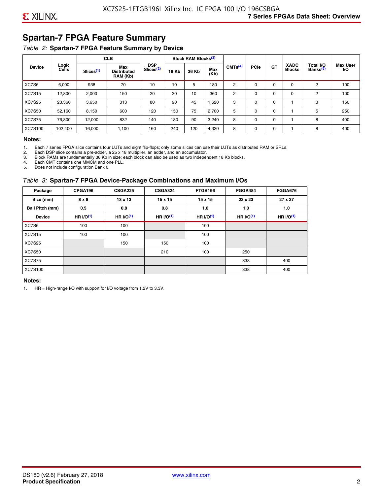# **Spartan-7 FPGA Feature Summary**

#### *Table 2:* **Spartan-7 FPGA Feature Summary by Device**

|               |                |                       | <b>CLB</b>                            |                                     |              | <b>Block RAM Blocks</b> <sup>(3)</sup> |             |                     |             |             |                              |                                   |                              |
|---------------|----------------|-----------------------|---------------------------------------|-------------------------------------|--------------|----------------------------------------|-------------|---------------------|-------------|-------------|------------------------------|-----------------------------------|------------------------------|
| <b>Device</b> | Logic<br>Cells | Slices <sup>(1)</sup> | Max<br><b>Distributed</b><br>RAM (Kb) | <b>DSP</b><br>Slices <sup>(2)</sup> | <b>18 Kb</b> | 36 Kb                                  | Max<br>(Kb) | CMTS <sup>(4)</sup> | <b>PCle</b> | <b>GT</b>   | <b>XADC</b><br><b>Blocks</b> | Total I/O<br>Banks <sup>(5)</sup> | <b>Max User</b><br><b>VO</b> |
| XC7S6         | 6,000          | 938                   | 70                                    | 10                                  | 10           | 5                                      | 180         | 2                   | $\Omega$    | 0           | 0                            | 2                                 | 100                          |
| <b>XC7S15</b> | 12,800         | 2,000                 | 150                                   | 20                                  | 20           | 10                                     | 360         | 2                   | $\Omega$    | $\mathbf 0$ | 0                            | 2                                 | 100                          |
| <b>XC7S25</b> | 23,360         | 3,650                 | 313                                   | 80                                  | 90           | 45                                     | 1,620       | 3                   | 0           | 0           |                              | 3                                 | 150                          |
| <b>XC7S50</b> | 52,160         | 8,150                 | 600                                   | 120                                 | 150          | 75                                     | 2,700       | 5                   | $\Omega$    | 0           |                              | 5                                 | 250                          |
| <b>XC7S75</b> | 76,800         | 12,000                | 832                                   | 140                                 | 180          | 90                                     | 3,240       | 8                   | 0           | 0           |                              | 8                                 | 400                          |
| XC7S100       | 102,400        | 16.000                | 1,100                                 | 160                                 | 240          | 120                                    | 4,320       | 8                   | 0           | 0           |                              | 8                                 | 400                          |

#### **Notes:**

1. Each 7 series FPGA slice contains four LUTs and eight flip-flops; only some slices can use their LUTs as distributed RAM or SRLs.<br>2. Each DSP slice contains a pre-adder. a 25 x 18 multiplier. an adder. and an accumulato

2. Each DSP slice contains a pre-adder, a 25 x 18 multiplier, an adder, and an accumulator. 3. Block RAMs are fundamentally 36 Kb in size; each block can also be used as two independent 18 Kb blocks.

4. Each CMT contains one MMCM and one PLL.

5. Does not include configuration Bank 0.

#### *Table 3:* **Spartan-7 FPGA Device-Package Combinations and Maximum I/Os**

| Package         | CPGA196    | <b>CSGA225</b> | <b>CSGA324</b> | FTGB196     | <b>FGGA484</b> | <b>FGGA676</b> |
|-----------------|------------|----------------|----------------|-------------|----------------|----------------|
| Size (mm)       | 8 x 8      | $13 \times 13$ | $15 \times 15$ | 15 x 15     | 23 x 23        | 27 x 27        |
| Ball Pitch (mm) | 0.5        | 0.8            | 0.8            | 1.0         | 1.0            | 1.0            |
| <b>Device</b>   | HR $l$ (1) | HR $UO(1)$     | HR $UO(1)$     | HR $l/O(1)$ | HR $I/O(1)$    | HR $l/O(1)$    |
| XC7S6           | 100        | 100            |                | 100         |                |                |
| <b>XC7S15</b>   | 100        | 100            |                | 100         |                |                |
| <b>XC7S25</b>   |            | 150            | 150            | 100         |                |                |
| <b>XC7S50</b>   |            |                | 210            | 100         | 250            |                |
| <b>XC7S75</b>   |            |                |                |             | 338            | 400            |
| <b>XC7S100</b>  |            |                |                |             | 338            | 400            |

#### **Notes:**

1. HR = High-range I/O with support for I/O voltage from 1.2V to 3.3V.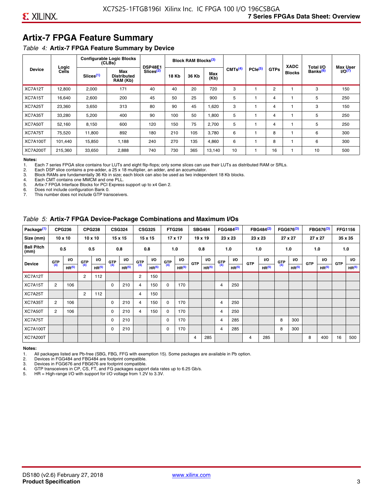# **Artix-7 FPGA Feature Summary**

#### *Table 4:* **Artix-7 FPGA Feature Summary by Device**

|                 |                |                       | <b>Configurable Logic Blocks</b><br>(CLBs) | <b>DSP48E1</b>        |              | Block RAM Blocks <sup>(3)</sup> |             |                     |                     |             | <b>XADC</b>   | Total I/O            | <b>Max User</b>    |
|-----------------|----------------|-----------------------|--------------------------------------------|-----------------------|--------------|---------------------------------|-------------|---------------------|---------------------|-------------|---------------|----------------------|--------------------|
| <b>Device</b>   | Logic<br>Cells | Slices <sup>(1)</sup> | Max<br><b>Distributed</b><br>RAM (Kb)      | Slices <sup>(2)</sup> | <b>18 Kb</b> | 36 Kb                           | Max<br>(Kb) | CMTS <sup>(4)</sup> | PCle <sup>(5)</sup> | <b>GTPs</b> | <b>Blocks</b> | Banks <sup>(6)</sup> | I/O <sub>(7)</sub> |
| XC7A12T         | 12,800         | 2,000                 | 171                                        | 40                    | 40           | 20                              | 720         | 3                   |                     | 2           |               | 3                    | 150                |
| XC7A15T         | 16,640         | 2,600                 | 200                                        | 45                    | 50           | 25                              | 900         | 5                   |                     | 4           |               | 5                    | 250                |
| XC7A25T         | 23,360         | 3,650                 | 313                                        | 80                    | 90           | 45                              | 1,620       | 3                   |                     | 4           |               | 3                    | 150                |
| XC7A35T         | 33,280         | 5,200                 | 400                                        | 90                    | 100          | 50                              | 1,800       | 5                   |                     | 4           |               | 5                    | 250                |
| XC7A50T         | 52,160         | 8,150                 | 600                                        | 120                   | 150          | 75                              | 2.700       | 5                   |                     | 4           |               | 5                    | 250                |
| XC7A75T         | 75,520         | 11,800                | 892                                        | 180                   | 210          | 105                             | 3,780       | 6                   |                     | 8           |               | 6                    | 300                |
| <b>XC7A100T</b> | 101.440        | 15,850                | 1.188                                      | 240                   | 270          | 135                             | 4,860       | 6                   |                     | 8           |               | 6                    | 300                |
| <b>XC7A200T</b> | 215,360        | 33,650                | 2,888                                      | 740                   | 730          | 365                             | 13,140      | 10                  |                     | 16          |               | 10                   | 500                |

**Notes:**  Each 7 series FPGA slice contains four LUTs and eight flip-flops; only some slices can use their LUTs as distributed RAM or SRLs.

2. Each DSP slice contains a pre-adder, a 25 x 18 multiplier, an adder, and an accumulator.

3. Block RAMs are fundamentally 36 Kb in size; each block can also be used as two independent 18 Kb blocks.

4. Each CMT contains one MMCM and one PLL.<br>5. Artix-7 FPGA Interface Blocks for PCI Express

5. Artix-7 FPGA Interface Blocks for PCI Express support up to x4 Gen 2.<br>6. Does not include configuration Bank 0.

6. Does not include configuration Bank 0.

This number does not include GTP transceivers.

#### *Table 5:* **Artix-7 FPGA Device-Package Combinations and Maximum I/Os**

| Package <sup>(1)</sup>    |            | <b>CPG236</b>     |                | <b>CPG238</b>  |            | <b>CSG324</b> |                | <b>CSG325</b>     |       | <b>FTG256</b>     |            | <b>SBG484</b>     |                | FGG484 <sup>(2)</sup> |                | FBG484 <sup>(2)</sup> |       | FGG676 <sup>(3)</sup> |            | FBG676 <sup>(3)</sup> |            | <b>FFG1156</b> |
|---------------------------|------------|-------------------|----------------|----------------|------------|---------------|----------------|-------------------|-------|-------------------|------------|-------------------|----------------|-----------------------|----------------|-----------------------|-------|-----------------------|------------|-----------------------|------------|----------------|
| Size (mm)                 |            | $10 \times 10$    |                | $10 \times 10$ |            | 15 x 15       |                | 15 x 15           |       | $17 \times 17$    |            | $19 \times 19$    |                | 23 x 23               |                | 23 x 23               |       | 27 x 27               |            | 27 x 27               |            | 35 x 35        |
| <b>Ball Pitch</b><br>(mm) |            | 0.5               |                | 0.5            |            | 0.8           | 0.8            |                   |       | 1.0               |            | 0.8               |                | 1.0                   |                | 1.0                   |       | 1.0                   |            | 1.0                   |            | 1.0            |
| <b>Device</b>             | <b>GTP</b> | <b>VO</b>         | <b>GTP</b>     | <b>VO</b>      | <b>GTP</b> | <b>VO</b>     | <b>GTP</b>     | <b>VO</b>         | G(TP) | VO.               | <b>GTP</b> | VO.               | G(TP)          | <b>VO</b>             | <b>GTP</b>     | <b>VO</b>             | G(TP) | <b>VO</b>             | <b>GTP</b> | <b>VO</b>             | <b>GTP</b> | <b>VO</b>      |
|                           | (4)        | HR <sup>(5)</sup> | (4)            | HR(5)          | (4)        | HP(5)         | (4)            | HR <sup>(5)</sup> |       | HR <sup>(5)</sup> |            | HR <sup>(5)</sup> |                | HR <sup>(5)</sup>     |                | HR <sup>(5)</sup>     |       | HR <sup>(5)</sup>     |            | HR <sup>(5)</sup>     |            | HR(5)          |
| XC7A12T                   |            |                   | $\overline{2}$ | 112            |            |               | $\overline{2}$ | 150               |       |                   |            |                   |                |                       |                |                       |       |                       |            |                       |            |                |
| XC7A15T                   | 2          | 106               |                |                | 0          | 210           | 4              | 150               | 0     | 170               |            |                   | $\overline{4}$ | 250                   |                |                       |       |                       |            |                       |            |                |
| XC7A25T                   |            |                   | 2              | 112            |            |               | 4              | 150               |       |                   |            |                   |                |                       |                |                       |       |                       |            |                       |            |                |
| XC7A35T                   | 2          | 106               |                |                | 0          | 210           | 4              | 150               | 0     | 170               |            |                   | 4              | 250                   |                |                       |       |                       |            |                       |            |                |
| XC7A50T                   | 2          | 106               |                |                | 0          | 210           | 4              | 150               | 0     | 170               |            |                   | 4              | 250                   |                |                       |       |                       |            |                       |            |                |
| XC7A75T                   |            |                   |                |                | 0          | 210           |                |                   | 0     | 170               |            |                   | 4              | 285                   |                |                       | 8     | 300                   |            |                       |            |                |
| <b>XC7A100T</b>           |            |                   |                |                | 0          | 210           |                |                   | 0     | 170               |            |                   | $\overline{4}$ | 285                   |                |                       | 8     | 300                   |            |                       |            |                |
| <b>XC7A200T</b>           |            |                   |                |                |            |               |                |                   |       |                   | 4          | 285               |                |                       | $\overline{4}$ | 285                   |       |                       | 8          | 400                   | 16         | 500            |

#### **Notes:**

1. All packages listed are Pb-free (SBG, FBG, FFG with exemption 15). Some packages are available in Pb option.

2. Devices in FGG484 and FBG484 are footprint compatible.

3. Devices in FGG676 and FBG676 are footprint compatible.

4. GTP transceivers in CP, CS, FT, and FG packages support data rates up to 6.25 Gb/s.<br>5. HR = High-range I/O with support for I/O voltage from 1.2V to 3.3V.

HR = High-range I/O with support for I/O voltage from 1.2V to 3.3V.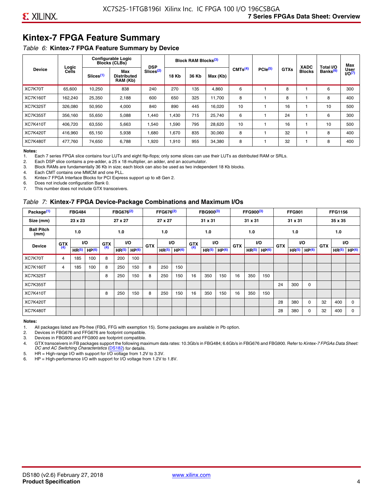# **Kintex-7 FPGA Feature Summary**

#### *Table 6:* **Kintex-7 FPGA Feature Summary by Device**

|                 |                |                       | <b>Configurable Logic</b><br><b>Blocks (CLBs)</b> | <b>DSP</b>            |              | <b>Block RAM Blocks</b> <sup>(3)</sup> |          |                     |              |             | <b>XADC</b>   | Total I/O            | Max               |
|-----------------|----------------|-----------------------|---------------------------------------------------|-----------------------|--------------|----------------------------------------|----------|---------------------|--------------|-------------|---------------|----------------------|-------------------|
| <b>Device</b>   | Logic<br>Cells | Slices <sup>(1)</sup> | Max<br><b>Distributed</b><br>RAM (Kb)             | Slices <sup>(2)</sup> | <b>18 Kb</b> | 36 Kb                                  | Max (Kb) | CMTS <sup>(4)</sup> | $PCle^{(5)}$ | <b>GTXs</b> | <b>Blocks</b> | Banks <sup>(6)</sup> | User<br>$1/0^{7}$ |
| XC7K70T         | 65.600         | 10,250                | 838                                               | 240                   | 270          | 135                                    | 4,860    | 6                   |              | 8           |               | 6                    | 300               |
| <b>XC7K160T</b> | 162,240        | 25,350                | 2,188                                             | 600                   | 650          | 325                                    | 11,700   | 8                   |              | 8           |               | 8                    | 400               |
| <b>XC7K325T</b> | 326,080        | 50,950                | 4,000                                             | 840                   | 890          | 445                                    | 16,020   | 10                  |              | 16          |               | 10                   | 500               |
| <b>XC7K355T</b> | 356.160        | 55,650                | 5,088                                             | 1.440                 | 1.430        | 715                                    | 25,740   | 6                   |              | 24          |               | 6                    | 300               |
| <b>XC7K410T</b> | 406.720        | 63,550                | 5,663                                             | .540                  | 1,590        | 795                                    | 28,620   | 10                  |              | 16          |               | 10                   | 500               |
| <b>XC7K420T</b> | 416.960        | 65,150                | 5,938                                             | 1,680                 | 1,670        | 835                                    | 30,060   | 8                   |              | 32          |               | 8                    | 400               |
| <b>XC7K480T</b> | 477,760        | 74,650                | 6,788                                             | 1,920                 | 1,910        | 955                                    | 34,380   | 8                   |              | 32          |               | 8                    | 400               |

#### **Notes:**

1. Each 7 series FPGA slice contains four LUTs and eight flip-flops; only some slices can use their LUTs as distributed RAM or SRLs.<br>2. Each DSP slice contains a pre-adder, a 25 x 18 multiplier, an adder, and an accumulato

Each DSP slice contains a pre-adder, a 25 x 18 multiplier, an adder, and an accumulator.

3. Block RAMs are fundamentally 36 Kb in size; each block can also be used as two independent 18 Kb blocks.

4. Each CMT contains one MMCM and one PLL.

5. Kintex-7 FPGA Interface Blocks for PCI Express support up to x8 Gen 2.

6. Does not include configuration Bank 0.

7. This number does not include GTX transceivers.

#### *Table 7:* **Kintex-7 FPGA Device-Package Combinations and Maximum I/Os**

| Package <sup>(1)</sup>    |            | <b>FBG484</b>     |                   |            | FBG676 <sup>(2)</sup> |                   |            | FFG676 <sup>(2)</sup> |                   |            | FBG900 <sup>(3)</sup> |           |            | FFG900 <sup>(3)</sup> |                   |            | <b>FFG901</b>     |                   |            | <b>FFG1156</b>    |                   |
|---------------------------|------------|-------------------|-------------------|------------|-----------------------|-------------------|------------|-----------------------|-------------------|------------|-----------------------|-----------|------------|-----------------------|-------------------|------------|-------------------|-------------------|------------|-------------------|-------------------|
| Size (mm)                 |            | 23 x 23           |                   |            | 27 x 27               |                   |            | 27 x 27               |                   |            | 31 x 31               |           |            | 31 x 31               |                   |            | 31 x 31           |                   |            | 35 x 35           |                   |
| <b>Ball Pitch</b><br>(mm) |            | 1.0               |                   |            | 1.0                   |                   |            | 1.0                   |                   |            | 1.0                   |           |            | 1.0                   |                   |            | 1.0               |                   |            | 1.0               |                   |
| <b>Device</b>             | <b>GTX</b> |                   | VO.               | <b>GTX</b> | <b>VO</b>             |                   | <b>GTX</b> |                       | <b>VO</b>         | <b>GTX</b> |                       | <b>VO</b> | <b>GTX</b> | <b>VO</b>             |                   | <b>GTX</b> |                   | VO                | <b>GTX</b> | <b>VO</b>         |                   |
|                           | (4)        | HR <sup>(5)</sup> | HP <sup>(6)</sup> | (4)        | HR <sup>(5)</sup>     | HP <sup>(6)</sup> |            | HR <sup>(5)</sup>     | HP <sup>(6)</sup> | (4)        | HR <sup>(5)</sup>     | HP(6)     |            | HR <sup>(5)</sup>     | HP <sup>(6)</sup> |            | HR <sup>(5)</sup> | HP <sup>(6)</sup> |            | HR <sup>(5)</sup> | HP <sup>(6)</sup> |
| XC7K70T                   | 4          | 185               | 100               | 8          | 200                   | 100               |            |                       |                   |            |                       |           |            |                       |                   |            |                   |                   |            |                   |                   |
| <b>XC7K160T</b>           | 4          | 185               | 100               | 8          | 250                   | 150               | 8          | 250                   | 150               |            |                       |           |            |                       |                   |            |                   |                   |            |                   |                   |
| <b>XC7K325T</b>           |            |                   |                   | 8          | 250                   | 150               | 8          | 250                   | 150               | 16         | 350                   | 150       | 16         | 350                   | 150               |            |                   |                   |            |                   |                   |
| <b>XC7K355T</b>           |            |                   |                   |            |                       |                   |            |                       |                   |            |                       |           |            |                       |                   | 24         | 300               | 0                 |            |                   |                   |
| <b>XC7K410T</b>           |            |                   |                   | 8          | 250                   | 150               | 8          | 250                   | 150               | 16         | 350                   | 150       | 16         | 350                   | 150               |            |                   |                   |            |                   |                   |
| <b>XC7K420T</b>           |            |                   |                   |            |                       |                   |            |                       |                   |            |                       |           |            |                       |                   | 28         | 380               | $\Omega$          | 32         | 400               | $\Omega$          |
| <b>XC7K480T</b>           |            |                   |                   |            |                       |                   |            |                       |                   |            |                       |           |            |                       |                   | 28         | 380               | 0                 | 32         | 400               | $\Omega$          |

#### **Notes:**

1. All packages listed are Pb-free (FBG, FFG with exemption 15). Some packages are available in Pb option.

2. Devices in FBG676 and FFG676 are footprint compatible.

3. Devices in FBG900 and FFG900 are footprint compatible. 4. GTX transceivers in FB packages support the following maximum data rates: 10.3Gb/s in FBG484; 6.6Gb/s in FBG676 and FBG900. Refer to *Kintex-7 FPGAs Data Sheet: DC and AC Switching Characteristics* [\(DS182](https://www.xilinx.com/support/documentation/data_sheets/ds182_Kintex_7_Data_Sheet.pdf)) for details.

5. HR = High-range I/O with support for I/O voltage from 1.2V to 3.3V.

6. HP = High-performance I/O with support for I/O voltage from 1.2V to 1.8V.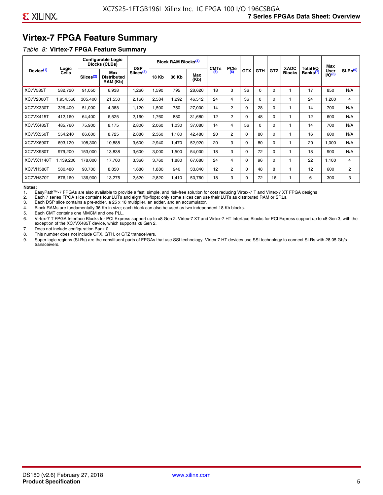# **Virtex-7 FPGA Feature Summary**

#### *Table 8:* **Virtex-7 FPGA Feature Summary**

|                       |                |                       | <b>Configurable Logic</b><br><b>Blocks (CLBs)</b> | <b>DSP</b>            |       | <b>Block RAM Blocks<sup>(4)</sup></b> |             | <b>CMTs</b> | <b>PCIe</b>    |            |            |            | <b>XADC</b>   | Total I/O            | Max                        |                |
|-----------------------|----------------|-----------------------|---------------------------------------------------|-----------------------|-------|---------------------------------------|-------------|-------------|----------------|------------|------------|------------|---------------|----------------------|----------------------------|----------------|
| Device <sup>(1)</sup> | Logic<br>Cells | Slices <sup>(2)</sup> | Max<br><b>Distributed</b><br>RAM (Kb)             | Slices <sup>(3)</sup> | 18 Kb | 36 Kb                                 | Max<br>(Kb) | (5)         | (6)            | <b>GTX</b> | <b>GTH</b> | <b>GTZ</b> | <b>Blocks</b> | Banks <sup>(7)</sup> | <b>User</b><br>$1/O^{(8)}$ | SLRs(9)        |
| <b>XC7V585T</b>       | 582,720        | 91,050                | 6,938                                             | ,260                  | .590  | 795                                   | 28,620      | 18          | 3              | 36         | $\Omega$   | 0          |               | 17                   | 850                        | N/A            |
| XC7V2000T             | 1,954,560      | 305,400               | 21,550                                            | 2,160                 | 2,584 | ,292                                  | 46,512      | 24          | 4              | 36         | 0          | 0          |               | 24                   | ,200                       | 4              |
| XC7VX330T             | 326,400        | 51,000                | 4,388                                             | 1,120                 | 1,500 | 750                                   | 27,000      | 14          | $\overline{2}$ | 0          | 28         | 0          |               | 14                   | 700                        | N/A            |
| XC7VX415T             | 412,160        | 64,400                | 6,525                                             | 2,160                 | 1,760 | 880                                   | 31,680      | 12          | $\overline{2}$ | $\Omega$   | 48         | $\Omega$   |               | 12                   | 600                        | N/A            |
| XC7VX485T             | 485,760        | 75,900                | 8,175                                             | 2,800                 | 2,060 | 1,030                                 | 37,080      | 14          | 4              | 56         | 0          | $\Omega$   |               | 14                   | 700                        | N/A            |
| XC7VX550T             | 554,240        | 86,600                | 8,725                                             | 2,880                 | 2,360 | 1,180                                 | 42,480      | 20          | $\overline{2}$ | $\Omega$   | 80         | 0          |               | 16                   | 600                        | N/A            |
| XC7VX690T             | 693,120        | 108,300               | 10,888                                            | 3,600                 | 2,940 | <b>470</b>                            | 52,920      | 20          | 3              | 0          | 80         | 0          |               | 20                   | 1,000                      | N/A            |
| XC7VX980T             | 979,200        | 153,000               | 13,838                                            | 3,600                 | 3,000 | 1,500                                 | 54,000      | 18          | 3              | 0          | 72         | 0          |               | 18                   | 900                        | N/A            |
| <b>XC7VX1140T</b>     | 1,139,200      | 178,000               | 17,700                                            | 3,360                 | 3,760 | ,880                                  | 67,680      | 24          | 4              | 0          | 96         | 0          |               | 22                   | 1,100                      | 4              |
| XC7VH580T             | 580,480        | 90,700                | 8,850                                             | <b>680,</b>           | 1,880 | 940                                   | 33,840      | 12          | $\overline{c}$ | 0          | 48         | 8          |               | 12                   | 600                        | $\overline{2}$ |
| XC7VH870T             | 876,160        | 136,900               | 13,275                                            | 2,520                 | 2,820 | 1,410                                 | 50,760      | 18          | 3              | 0          | 72         | 16         |               | 6                    | 300                        | 3              |

#### **Notes:**

1. EasyPath™-7 FPGAs are also available to provide a fast, simple, and risk-free solution for cost reducing Virtex-7 T and Virtex-7 XT FPGA designs

2. Each 7 series FPGA slice contains four LUTs and eight flip-flops; only some slices can use their LUTs as distributed RAM or SRLs.

Each DSP slice contains a pre-adder, a 25 x 18 multiplier, an adder, and an accumulator.

4. Block RAMs are fundamentally 36 Kb in size; each block can also be used as two independent 18 Kb blocks.

5. Each CMT contains one MMCM and one PLL.

6. Virtex-7 T FPGA Interface Blocks for PCI Express support up to x8 Gen 2. Virtex-7 XT and Virtex-7 HT Interface Blocks for PCI Express support up to x8 Gen 3, with the exception of the XC7VX485T device, which supports x8 Gen 2.

7. Does not include configuration Bank 0.

8. This number does not include GTX, GTH, or GTZ transceivers.

9. Super logic regions (SLRs) are the constituent parts of FPGAs that use SSI technology. Virtex-7 HT devices use SSI technology to connect SLRs with 28.05 Gb/s transceivers.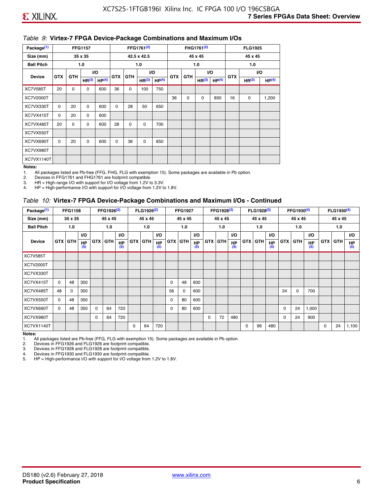#### *Table 9:* **Virtex-7 FPGA Device-Package Combinations and Maximum I/Os**

| Package <sup>(1)</sup> |            |             | <b>FFG1157</b>    |                   |            |            | FFG1761 <sup>(2)</sup> |                   |            |             | FHG1761 <sup>(2)</sup> |                   |            | <b>FLG1925</b>    |                   |
|------------------------|------------|-------------|-------------------|-------------------|------------|------------|------------------------|-------------------|------------|-------------|------------------------|-------------------|------------|-------------------|-------------------|
| Size (mm)              |            |             | 35 x 35           |                   |            |            | 42.5 x 42.5            |                   |            |             | 45 x 45                |                   |            | 45 x 45           |                   |
| <b>Ball Pitch</b>      |            |             | 1.0               |                   |            |            | 1.0                    |                   |            |             | 1.0                    |                   |            | 1.0               |                   |
| <b>Device</b>          | <b>GTX</b> | <b>GTH</b>  |                   | I/O               | <b>GTX</b> | <b>GTH</b> |                        | I/O               | <b>GTX</b> | <b>GTH</b>  | VO.                    |                   | <b>GTX</b> |                   | VO.               |
|                        |            |             | HR <sup>(3)</sup> | HP <sup>(4)</sup> |            |            | HR <sup>(3)</sup>      | HP <sup>(4)</sup> |            |             | HR <sup>(3)</sup>      | HP <sup>(4)</sup> |            | HR <sup>(3)</sup> | HP <sup>(4)</sup> |
| <b>XC7V585T</b>        | 20         | $\mathbf 0$ | 0                 | 600               | 36         | 0          | 100                    | 750               |            |             |                        |                   |            |                   |                   |
| XC7V2000T              |            |             |                   |                   |            |            |                        |                   | 36         | $\mathbf 0$ | 0                      | 850               | 16         | 0                 | 1,200             |
| XC7VX330T              | $\Omega$   | 20          | $\Omega$          | 600               | 0          | 28         | 50                     | 650               |            |             |                        |                   |            |                   |                   |
| XC7VX415T              | 0          | 20          | $\Omega$          | 600               |            |            |                        |                   |            |             |                        |                   |            |                   |                   |
| XC7VX485T              | 20         | 0           | 0                 | 600               | 28         | 0          | 0                      | 700               |            |             |                        |                   |            |                   |                   |
| XC7VX550T              |            |             |                   |                   |            |            |                        |                   |            |             |                        |                   |            |                   |                   |
| XC7VX690T              | $\Omega$   | 20          | $\Omega$          | 600               | $\Omega$   | 36         | 0                      | 850               |            |             |                        |                   |            |                   |                   |
| XC7VX980T              |            |             |                   |                   |            |            |                        |                   |            |             |                        |                   |            |                   |                   |
| XC7VX1140T             |            |             |                   |                   |            |            |                        |                   |            |             |                        |                   |            |                   |                   |

#### **Notes:**

1. All packages listed are Pb-free (FFG, FHG, FLG with exemption 15). Some packages are available in Pb option.

2. Devices in FFG1761 and FHG1761 are footprint compatible.<br>3. HR = High-range I/O with support for I/O voltage from 1.2V to

HR = High-range I/O with support for I/O voltage from 1.2V to 3.3V.

4. HP = High-performance I/O with support for I/O voltage from 1.2V to 1.8V.

#### *Table 10:* **Virtex-7 FPGA Device-Package Combinations and Maximum I/Os - Continued**

| Package <sup>(1)</sup> |          | <b>FFG1158</b> |                  |            | FFG1926 <sup>(2)</sup> |                  |            | FLG1926 <sup>(2)</sup> |                  |    | <b>FFG1927</b> |                  |            | FFG1928 <sup>(3)</sup> |                  |            | FLG1928 <sup>(3)</sup> |                  |             | FFG1930 <sup>(4)</sup> |                  |            | $FLG1930^{(4)}$ |                  |
|------------------------|----------|----------------|------------------|------------|------------------------|------------------|------------|------------------------|------------------|----|----------------|------------------|------------|------------------------|------------------|------------|------------------------|------------------|-------------|------------------------|------------------|------------|-----------------|------------------|
| Size (mm)              |          | 35 x 35        |                  |            | 45 x 45                |                  |            | 45 x 45                |                  |    | 45 x 45        |                  |            | 45 x 45                |                  |            | 45 x 45                |                  |             | 45 x 45                |                  |            | 45 x 45         |                  |
| <b>Ball Pitch</b>      |          | 1.0            |                  |            | 1.0                    |                  |            | 1.0                    |                  |    | 1.0            |                  |            | 1.0                    |                  |            | 1.0                    |                  |             | 1.0                    |                  |            | 1.0             |                  |
|                        |          |                | <b>VO</b>        |            |                        | <b>VO</b>        |            |                        | <b>VO</b>        |    |                | <b>VO</b>        |            |                        | <b>VO</b>        |            |                        | <b>VO</b>        |             |                        | <b>VO</b>        |            |                 | VO.              |
| <b>Device</b>          |          | <b>GTX GTH</b> | <b>HP</b><br>(5) | <b>GTX</b> | <b>GTH</b>             | <b>HP</b><br>(5) | <b>GTX</b> | <b>GTH</b>             | <b>HP</b><br>(5) |    | <b>GTX GTH</b> | <b>HP</b><br>(5) | <b>GTX</b> | <b>GTH</b>             | <b>HP</b><br>(5) | <b>GTX</b> | <b>GTH</b>             | <b>HP</b><br>(5) | <b>GTX</b>  | GTH                    | <b>HP</b><br>(5) | <b>GTX</b> | GTH             | <b>HP</b><br>(5) |
| <b>XC7V585T</b>        |          |                |                  |            |                        |                  |            |                        |                  |    |                |                  |            |                        |                  |            |                        |                  |             |                        |                  |            |                 |                  |
| XC7V2000T              |          |                |                  |            |                        |                  |            |                        |                  |    |                |                  |            |                        |                  |            |                        |                  |             |                        |                  |            |                 |                  |
| XC7VX330T              |          |                |                  |            |                        |                  |            |                        |                  |    |                |                  |            |                        |                  |            |                        |                  |             |                        |                  |            |                 |                  |
| XC7VX415T              | $\Omega$ | 48             | 350              |            |                        |                  |            |                        |                  | 0  | 48             | 600              |            |                        |                  |            |                        |                  |             |                        |                  |            |                 |                  |
| XC7VX485T              | 48       | 0              | 350              |            |                        |                  |            |                        |                  | 56 | 0              | 600              |            |                        |                  |            |                        |                  | 24          | 0                      | 700              |            |                 |                  |
| XC7VX550T              | 0        | 48             | 350              |            |                        |                  |            |                        |                  | 0  | 80             | 600              |            |                        |                  |            |                        |                  |             |                        |                  |            |                 |                  |
| XC7VX690T              | $\Omega$ | 48             | 350              | $\Omega$   | 64                     | 720              |            |                        |                  | 0  | 80             | 600              |            |                        |                  |            |                        |                  | $\mathbf 0$ | 24                     | 1,000            |            |                 |                  |
| XC7VX980T              |          |                |                  | $\Omega$   | 64                     | 720              |            |                        |                  |    |                |                  | $\Omega$   | 72                     | 480              |            |                        |                  | 0           | 24                     | 900              |            |                 |                  |
| XC7VX1140T             |          |                |                  |            |                        |                  | $\Omega$   | 64                     | 720              |    |                |                  |            |                        |                  | $\Omega$   | 96                     | 480              |             |                        |                  | 0          | 24              | 1,100            |

**Notes:** 

1. All packages listed are Pb-free (FFG, FLG with exemption 15). Some packages are available in Pb option.<br>2. Devices in FFG1926 and FLG1926 are footprint compatible.

2. Devices in FFG1926 and FLG1926 are footprint compatible.

3. Devices in FFG1928 and FLG1928 are footprint compatible.

4. Devices in FFG1930 and FLG1930 are footprint compatible.<br>5. HP = High-performance I/O with support for I/O voltage from HP = High-performance I/O with support for I/O voltage from 1.2V to 1.8V.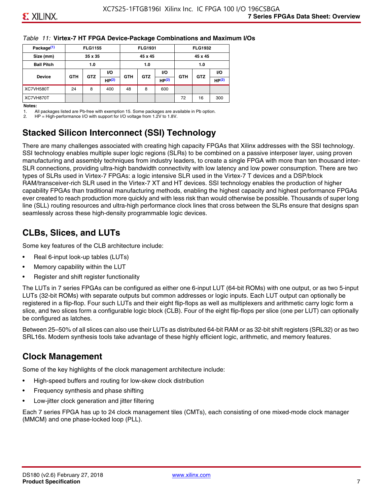#### *Table 11:* **Virtex-7 HT FPGA Device-Package Combinations and Maximum I/Os**

| Package <sup>(1)</sup> |            | <b>FLG1155</b> |       |            | <b>FLG1931</b> |                   |            | <b>FLG1932</b> |                   |
|------------------------|------------|----------------|-------|------------|----------------|-------------------|------------|----------------|-------------------|
| Size (mm)              |            | 35 x 35        |       |            | 45 x 45        |                   |            | 45 x 45        |                   |
| <b>Ball Pitch</b>      |            | 1.0            |       |            | 1.0            |                   |            | 1.0            |                   |
|                        |            |                | VO.   |            |                | <b>VO</b>         |            |                | VO.               |
| <b>Device</b>          | <b>GTH</b> | <b>GTZ</b>     | HP(2) | <b>GTH</b> | <b>GTZ</b>     | HP <sup>(2)</sup> | <b>GTH</b> | <b>GTZ</b>     | HP <sup>(2)</sup> |
| XC7VH580T              | 24         | 8              | 400   | 48         | 8              | 600               |            |                |                   |
| XC7VH870T              |            |                |       |            |                |                   | 72         | 16             | 300               |

#### **Notes:**

1. All packages listed are Pb-free with exemption 15. Some packages are available in Pb option.

2. HP = High-performance I/O with support for I/O voltage from 1.2V to 1.8V.

# **Stacked Silicon Interconnect (SSI) Technology**

There are many challenges associated with creating high capacity FPGAs that Xilinx addresses with the SSI technology. SSI technology enables multiple super logic regions (SLRs) to be combined on a passive interposer layer, using proven manufacturing and assembly techniques from industry leaders, to create a single FPGA with more than ten thousand inter-SLR connections, providing ultra-high bandwidth connectivity with low latency and low power consumption. There are two types of SLRs used in Virtex-7 FPGAs: a logic intensive SLR used in the Virtex-7 T devices and a DSP/block RAM/transceiver-rich SLR used in the Virtex-7 XT and HT devices. SSI technology enables the production of higher capability FPGAs than traditional manufacturing methods, enabling the highest capacity and highest performance FPGAs ever created to reach production more quickly and with less risk than would otherwise be possible. Thousands of super long line (SLL) routing resources and ultra-high performance clock lines that cross between the SLRs ensure that designs span seamlessly across these high-density programmable logic devices.

# **CLBs, Slices, and LUTs**

Some key features of the CLB architecture include:

- Real 6-input look-up tables (LUTs)
- Memory capability within the LUT
- Register and shift register functionality

The LUTs in 7 series FPGAs can be configured as either one 6-input LUT (64-bit ROMs) with one output, or as two 5-input LUTs (32-bit ROMs) with separate outputs but common addresses or logic inputs. Each LUT output can optionally be registered in a flip-flop. Four such LUTs and their eight flip-flops as well as multiplexers and arithmetic carry logic form a slice, and two slices form a configurable logic block (CLB). Four of the eight flip-flops per slice (one per LUT) can optionally be configured as latches.

Between 25–50% of all slices can also use their LUTs as distributed 64-bit RAM or as 32-bit shift registers (SRL32) or as two SRL16s. Modern synthesis tools take advantage of these highly efficient logic, arithmetic, and memory features.

# **Clock Management**

Some of the key highlights of the clock management architecture include:

- High-speed buffers and routing for low-skew clock distribution
- Frequency synthesis and phase shifting
- Low-jitter clock generation and jitter filtering

Each 7 series FPGA has up to 24 clock management tiles (CMTs), each consisting of one mixed-mode clock manager (MMCM) and one phase-locked loop (PLL).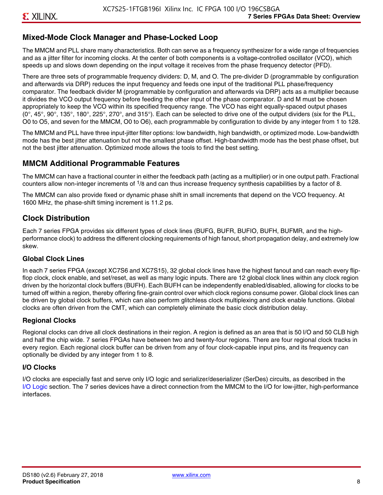#### **Mixed-Mode Clock Manager and Phase-Locked Loop**

The MMCM and PLL share many characteristics. Both can serve as a frequency synthesizer for a wide range of frequencies and as a jitter filter for incoming clocks. At the center of both components is a voltage-controlled oscillator (VCO), which speeds up and slows down depending on the input voltage it receives from the phase frequency detector (PFD).

There are three sets of programmable frequency dividers: D, M, and O. The pre-divider D (programmable by configuration and afterwards via DRP) reduces the input frequency and feeds one input of the traditional PLL phase/frequency comparator. The feedback divider M (programmable by configuration and afterwards via DRP) acts as a multiplier because it divides the VCO output frequency before feeding the other input of the phase comparator. D and M must be chosen appropriately to keep the VCO within its specified frequency range. The VCO has eight equally-spaced output phases  $(0^\circ, 45^\circ, 90^\circ, 135^\circ, 180^\circ, 225^\circ, 270^\circ,$  and  $315^\circ$ ). Each can be selected to drive one of the output dividers (six for the PLL, O0 to O5, and seven for the MMCM, O0 to O6), each programmable by configuration to divide by any integer from 1 to 128.

The MMCM and PLL have three input-jitter filter options: low bandwidth, high bandwidth, or optimized mode. Low-bandwidth mode has the best jitter attenuation but not the smallest phase offset. High-bandwidth mode has the best phase offset, but not the best jitter attenuation. Optimized mode allows the tools to find the best setting.

#### **MMCM Additional Programmable Features**

The MMCM can have a fractional counter in either the feedback path (acting as a multiplier) or in one output path. Fractional counters allow non-integer increments of  $1/8$  and can thus increase frequency synthesis capabilities by a factor of 8.

The MMCM can also provide fixed or dynamic phase shift in small increments that depend on the VCO frequency. At 1600 MHz, the phase-shift timing increment is 11.2 ps.

#### **Clock Distribution**

Each 7 series FPGA provides six different types of clock lines (BUFG, BUFR, BUFIO, BUFH, BUFMR, and the highperformance clock) to address the different clocking requirements of high fanout, short propagation delay, and extremely low skew.

#### **Global Clock Lines**

In each 7 series FPGA (except XC7S6 and XC7S15), 32 global clock lines have the highest fanout and can reach every flipflop clock, clock enable, and set/reset, as well as many logic inputs. There are 12 global clock lines within any clock region driven by the horizontal clock buffers (BUFH). Each BUFH can be independently enabled/disabled, allowing for clocks to be turned off within a region, thereby offering fine-grain control over which clock regions consume power. Global clock lines can be driven by global clock buffers, which can also perform glitchless clock multiplexing and clock enable functions. Global clocks are often driven from the CMT, which can completely eliminate the basic clock distribution delay.

#### **Regional Clocks**

Regional clocks can drive all clock destinations in their region. A region is defined as an area that is 50 I/O and 50 CLB high and half the chip wide. 7 series FPGAs have between two and twenty-four regions. There are four regional clock tracks in every region. Each regional clock buffer can be driven from any of four clock-capable input pins, and its frequency can optionally be divided by any integer from 1 to 8.

#### **I/O Clocks**

I/O clocks are especially fast and serve only I/O logic and serializer/deserializer (SerDes) circuits, as described in the I/O Logic section. The 7 series devices have a direct connection from the MMCM to the I/O for low-jitter, high-performance interfaces.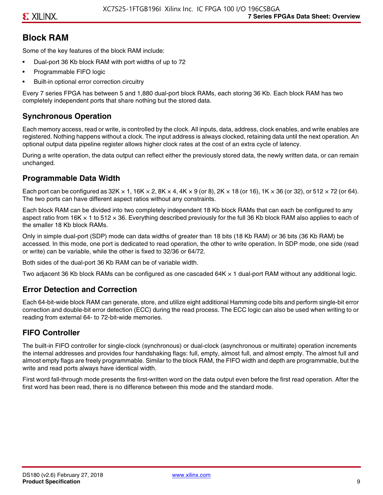# **Block RAM**

Some of the key features of the block RAM include:

- Dual-port 36 Kb block RAM with port widths of up to 72
- Programmable FIFO logic
- Built-in optional error correction circuitry

Every 7 series FPGA has between 5 and 1,880 dual-port block RAMs, each storing 36 Kb. Each block RAM has two completely independent ports that share nothing but the stored data.

## **Synchronous Operation**

Each memory access, read or write, is controlled by the clock. All inputs, data, address, clock enables, and write enables are registered. Nothing happens without a clock. The input address is always clocked, retaining data until the next operation. An optional output data pipeline register allows higher clock rates at the cost of an extra cycle of latency.

During a write operation, the data output can reflect either the previously stored data, the newly written data, or can remain unchanged.

#### **Programmable Data Width**

Each port can be configured as 32K  $\times$  1, 16K  $\times$  2, 8K  $\times$  4, 4K  $\times$  9 (or 8), 2K  $\times$  18 (or 16), 1K  $\times$  36 (or 32), or 512  $\times$  72 (or 64). The two ports can have different aspect ratios without any constraints.

Each block RAM can be divided into two completely independent 18 Kb block RAMs that can each be configured to any aspect ratio from 16K  $\times$  1 to 512  $\times$  36. Everything described previously for the full 36 Kb block RAM also applies to each of the smaller 18 Kb block RAMs.

Only in simple dual-port (SDP) mode can data widths of greater than 18 bits (18 Kb RAM) or 36 bits (36 Kb RAM) be accessed. In this mode, one port is dedicated to read operation, the other to write operation. In SDP mode, one side (read or write) can be variable, while the other is fixed to 32/36 or 64/72.

Both sides of the dual-port 36 Kb RAM can be of variable width.

Two adjacent 36 Kb block RAMs can be configured as one cascaded 64K × 1 dual-port RAM without any additional logic.

#### **Error Detection and Correction**

Each 64-bit-wide block RAM can generate, store, and utilize eight additional Hamming code bits and perform single-bit error correction and double-bit error detection (ECC) during the read process. The ECC logic can also be used when writing to or reading from external 64- to 72-bit-wide memories.

#### **FIFO Controller**

The built-in FIFO controller for single-clock (synchronous) or dual-clock (asynchronous or multirate) operation increments the internal addresses and provides four handshaking flags: full, empty, almost full, and almost empty. The almost full and almost empty flags are freely programmable. Similar to the block RAM, the FIFO width and depth are programmable, but the write and read ports always have identical width.

First word fall-through mode presents the first-written word on the data output even before the first read operation. After the first word has been read, there is no difference between this mode and the standard mode.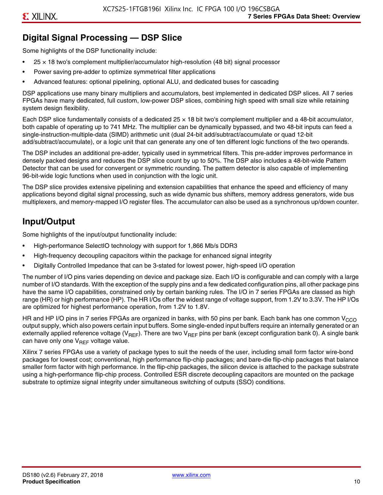# **Digital Signal Processing — DSP Slice**

Some highlights of the DSP functionality include:

- $25 \times 18$  two's complement multiplier/accumulator high-resolution (48 bit) signal processor
- Power saving pre-adder to optimize symmetrical filter applications
- Advanced features: optional pipelining, optional ALU, and dedicated buses for cascading

DSP applications use many binary multipliers and accumulators, best implemented in dedicated DSP slices. All 7 series FPGAs have many dedicated, full custom, low-power DSP slices, combining high speed with small size while retaining system design flexibility.

Each DSP slice fundamentally consists of a dedicated 25 × 18 bit two's complement multiplier and a 48-bit accumulator, both capable of operating up to 741 MHz. The multiplier can be dynamically bypassed, and two 48-bit inputs can feed a single-instruction-multiple-data (SIMD) arithmetic unit (dual 24-bit add/subtract/accumulate or quad 12-bit add/subtract/accumulate), or a logic unit that can generate any one of ten different logic functions of the two operands.

The DSP includes an additional pre-adder, typically used in symmetrical filters. This pre-adder improves performance in densely packed designs and reduces the DSP slice count by up to 50%. The DSP also includes a 48-bit-wide Pattern Detector that can be used for convergent or symmetric rounding. The pattern detector is also capable of implementing 96-bit-wide logic functions when used in conjunction with the logic unit.

The DSP slice provides extensive pipelining and extension capabilities that enhance the speed and efficiency of many applications beyond digital signal processing, such as wide dynamic bus shifters, memory address generators, wide bus multiplexers, and memory-mapped I/O register files. The accumulator can also be used as a synchronous up/down counter.

# **Input/Output**

Some highlights of the input/output functionality include:

- High-performance SelectIO technology with support for 1,866 Mb/s DDR3
- High-frequency decoupling capacitors within the package for enhanced signal integrity
- Digitally Controlled Impedance that can be 3-stated for lowest power, high-speed I/O operation

The number of I/O pins varies depending on device and package size. Each I/O is configurable and can comply with a large number of I/O standards. With the exception of the supply pins and a few dedicated configuration pins, all other package pins have the same I/O capabilities, constrained only by certain banking rules. The I/O in 7 series FPGAs are classed as high range (HR) or high performance (HP). The HR I/Os offer the widest range of voltage support, from 1.2V to 3.3V. The HP I/Os are optimized for highest performance operation, from 1.2V to 1.8V.

HR and HP I/O pins in 7 series FPGAs are organized in banks, with 50 pins per bank. Each bank has one common V<sub>CCO</sub> output supply, which also powers certain input buffers. Some single-ended input buffers require an internally generated or an externally applied reference voltage ( $V_{RFF}$ ). There are two  $V_{RFF}$  pins per bank (except configuration bank 0). A single bank can have only one  $V_{\text{RFF}}$  voltage value.

Xilinx 7 series FPGAs use a variety of package types to suit the needs of the user, including small form factor wire-bond packages for lowest cost; conventional, high performance flip-chip packages; and bare-die flip-chip packages that balance smaller form factor with high performance. In the flip-chip packages, the silicon device is attached to the package substrate using a high-performance flip-chip process. Controlled ESR discrete decoupling capacitors are mounted on the package substrate to optimize signal integrity under simultaneous switching of outputs (SSO) conditions.

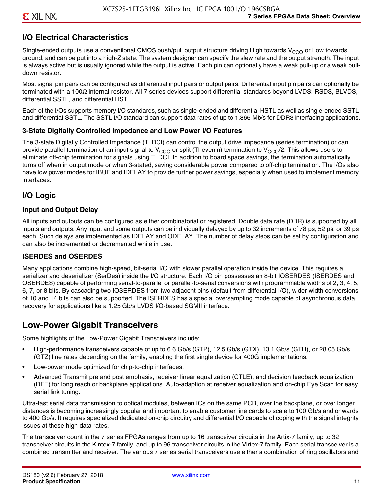# **I/O Electrical Characteristics**

Single-ended outputs use a conventional CMOS push/pull output structure driving High towards  $V_{CCO}$  or Low towards ground, and can be put into a high-Z state. The system designer can specify the slew rate and the output strength. The input is always active but is usually ignored while the output is active. Each pin can optionally have a weak pull-up or a weak pulldown resistor.

Most signal pin pairs can be configured as differential input pairs or output pairs. Differential input pin pairs can optionally be terminated with a 100Ω internal resistor. All 7 series devices support differential standards beyond LVDS: RSDS, BLVDS, differential SSTL, and differential HSTL.

Each of the I/Os supports memory I/O standards, such as single-ended and differential HSTL as well as single-ended SSTL and differential SSTL. The SSTL I/O standard can support data rates of up to 1,866 Mb/s for DDR3 interfacing applications.

#### **3-State Digitally Controlled Impedance and Low Power I/O Features**

The 3-state Digitally Controlled Impedance (T\_DCI) can control the output drive impedance (series termination) or can provide parallel termination of an input signal to V<sub>CCO</sub> or split (Thevenin) termination to V<sub>CCO</sub>/2. This allows users to eliminate off-chip termination for signals using T\_DCI. In addition to board space savings, the termination automatically turns off when in output mode or when 3-stated, saving considerable power compared to off-chip termination. The I/Os also have low power modes for IBUF and IDELAY to provide further power savings, especially when used to implement memory interfaces.

## **I/O Logic**

#### **Input and Output Delay**

All inputs and outputs can be configured as either combinatorial or registered. Double data rate (DDR) is supported by all inputs and outputs. Any input and some outputs can be individually delayed by up to 32 increments of 78 ps, 52 ps, or 39 ps each. Such delays are implemented as IDELAY and ODELAY. The number of delay steps can be set by configuration and can also be incremented or decremented while in use.

#### **ISERDES and OSERDES**

Many applications combine high-speed, bit-serial I/O with slower parallel operation inside the device. This requires a serializer and deserializer (SerDes) inside the I/O structure. Each I/O pin possesses an 8-bit IOSERDES (ISERDES and OSERDES) capable of performing serial-to-parallel or parallel-to-serial conversions with programmable widths of 2, 3, 4, 5, 6, 7, or 8 bits. By cascading two IOSERDES from two adjacent pins (default from differential I/O), wider width conversions of 10 and 14 bits can also be supported. The ISERDES has a special oversampling mode capable of asynchronous data recovery for applications like a 1.25 Gb/s LVDS I/O-based SGMII interface.

# **Low-Power Gigabit Transceivers**

Some highlights of the Low-Power Gigabit Transceivers include:

- High-performance transceivers capable of up to 6.6 Gb/s (GTP), 12.5 Gb/s (GTX), 13.1 Gb/s (GTH), or 28.05 Gb/s (GTZ) line rates depending on the family, enabling the first single device for 400G implementations.
- Low-power mode optimized for chip-to-chip interfaces.
- Advanced Transmit pre and post emphasis, receiver linear equalization (CTLE), and decision feedback equalization (DFE) for long reach or backplane applications. Auto-adaption at receiver equalization and on-chip Eye Scan for easy serial link tuning.

Ultra-fast serial data transmission to optical modules, between ICs on the same PCB, over the backplane, or over longer distances is becoming increasingly popular and important to enable customer line cards to scale to 100 Gb/s and onwards to 400 Gb/s. It requires specialized dedicated on-chip circuitry and differential I/O capable of coping with the signal integrity issues at these high data rates.

The transceiver count in the 7 series FPGAs ranges from up to 16 transceiver circuits in the Artix-7 family, up to 32 transceiver circuits in the Kintex-7 family, and up to 96 transceiver circuits in the Virtex-7 family. Each serial transceiver is a combined transmitter and receiver. The various 7 series serial transceivers use either a combination of ring oscillators and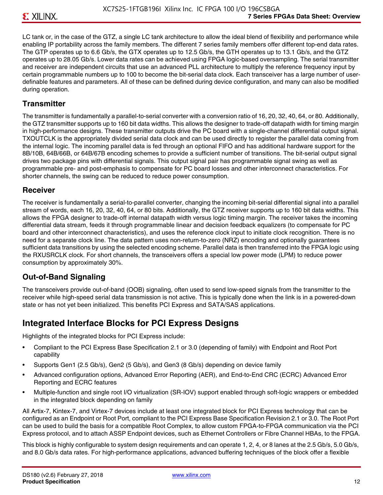LC tank or, in the case of the GTZ, a single LC tank architecture to allow the ideal blend of flexibility and performance while enabling IP portability across the family members. The different 7 series family members offer different top-end data rates. The GTP operates up to 6.6 Gb/s, the GTX operates up to 12.5 Gb/s, the GTH operates up to 13.1 Gb/s, and the GTZ operates up to 28.05 Gb/s. Lower data rates can be achieved using FPGA logic-based oversampling. The serial transmitter and receiver are independent circuits that use an advanced PLL architecture to multiply the reference frequency input by certain programmable numbers up to 100 to become the bit-serial data clock. Each transceiver has a large number of userdefinable features and parameters. All of these can be defined during device configuration, and many can also be modified during operation.

#### **Transmitter**

The transmitter is fundamentally a parallel-to-serial converter with a conversion ratio of 16, 20, 32, 40, 64, or 80. Additionally, the GTZ transmitter supports up to 160 bit data widths. This allows the designer to trade-off datapath width for timing margin in high-performance designs. These transmitter outputs drive the PC board with a single-channel differential output signal. TXOUTCLK is the appropriately divided serial data clock and can be used directly to register the parallel data coming from the internal logic. The incoming parallel data is fed through an optional FIFO and has additional hardware support for the 8B/10B, 64B/66B, or 64B/67B encoding schemes to provide a sufficient number of transitions. The bit-serial output signal drives two package pins with differential signals. This output signal pair has programmable signal swing as well as programmable pre- and post-emphasis to compensate for PC board losses and other interconnect characteristics. For shorter channels, the swing can be reduced to reduce power consumption.

#### **Receiver**

The receiver is fundamentally a serial-to-parallel converter, changing the incoming bit-serial differential signal into a parallel stream of words, each 16, 20, 32, 40, 64, or 80 bits. Additionally, the GTZ receiver supports up to 160 bit data widths. This allows the FPGA designer to trade-off internal datapath width versus logic timing margin. The receiver takes the incoming differential data stream, feeds it through programmable linear and decision feedback equalizers (to compensate for PC board and other interconnect characteristics), and uses the reference clock input to initiate clock recognition. There is no need for a separate clock line. The data pattern uses non-return-to-zero (NRZ) encoding and optionally guarantees sufficient data transitions by using the selected encoding scheme. Parallel data is then transferred into the FPGA logic using the RXUSRCLK clock. For short channels, the transceivers offers a special low power mode (LPM) to reduce power consumption by approximately 30%.

#### **Out-of-Band Signaling**

The transceivers provide out-of-band (OOB) signaling, often used to send low-speed signals from the transmitter to the receiver while high-speed serial data transmission is not active. This is typically done when the link is in a powered-down state or has not yet been initialized. This benefits PCI Express and SATA/SAS applications.

# **Integrated Interface Blocks for PCI Express Designs**

Highlights of the integrated blocks for PCI Express include:

- Compliant to the PCI Express Base Specification 2.1 or 3.0 (depending of family) with Endpoint and Root Port capability
- Supports Gen1 (2.5 Gb/s), Gen2 (5 Gb/s), and Gen3 (8 Gb/s) depending on device family
- Advanced configuration options, Advanced Error Reporting (AER), and End-to-End CRC (ECRC) Advanced Error Reporting and ECRC features
- Multiple-function and single root I/O virtualization (SR-IOV) support enabled through soft-logic wrappers or embedded in the integrated block depending on family

All Artix-7, Kintex-7, and Virtex-7 devices include at least one integrated block for PCI Express technology that can be configured as an Endpoint or Root Port, compliant to the PCI Express Base Specification Revision 2.1 or 3.0. The Root Port can be used to build the basis for a compatible Root Complex, to allow custom FPGA-to-FPGA communication via the PCI Express protocol, and to attach ASSP Endpoint devices, such as Ethernet Controllers or Fibre Channel HBAs, to the FPGA.

This block is highly configurable to system design requirements and can operate 1, 2, 4, or 8 lanes at the 2.5 Gb/s, 5.0 Gb/s, and 8.0 Gb/s data rates. For high-performance applications, advanced buffering techniques of the block offer a flexible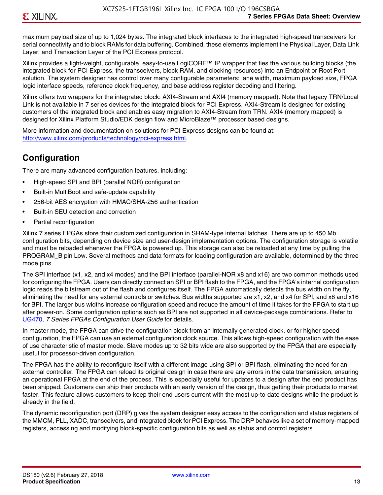maximum payload size of up to 1,024 bytes. The integrated block interfaces to the integrated high-speed transceivers for serial connectivity and to block RAMs for data buffering. Combined, these elements implement the Physical Layer, Data Link Layer, and Transaction Layer of the PCI Express protocol.

Xilinx provides a light-weight, configurable, easy-to-use LogiCORE™ IP wrapper that ties the various building blocks (the integrated block for PCI Express, the transceivers, block RAM, and clocking resources) into an Endpoint or Root Port solution. The system designer has control over many configurable parameters: lane width, maximum payload size, FPGA logic interface speeds, reference clock frequency, and base address register decoding and filtering.

Xilinx offers two wrappers for the integrated block: AXI4-Stream and AXI4 (memory mapped). Note that legacy TRN/Local Link is not available in 7 series devices for the integrated block for PCI Express. AXI4-Stream is designed for existing customers of the integrated block and enables easy migration to AXI4-Stream from TRN. AXI4 (memory mapped) is designed for Xilinx Platform Studio/EDK design flow and MicroBlaze™ processor based designs.

More information and documentation on solutions for PCI Express designs can be found at: <http://www.xilinx.com/products/technology/pci-express.html>.

# **Configuration**

There are many advanced configuration features, including:

- High-speed SPI and BPI (parallel NOR) configuration
- Built-in MultiBoot and safe-update capability
- 256-bit AES encryption with HMAC/SHA-256 authentication
- Built-in SEU detection and correction
- Partial reconfiguration

Xilinx 7 series FPGAs store their customized configuration in SRAM-type internal latches. There are up to 450 Mb configuration bits, depending on device size and user-design implementation options. The configuration storage is volatile and must be reloaded whenever the FPGA is powered up. This storage can also be reloaded at any time by pulling the PROGRAM B pin Low. Several methods and data formats for loading configuration are available, determined by the three mode pins.

The SPI interface (x1, x2, and x4 modes) and the BPI interface (parallel-NOR x8 and x16) are two common methods used for configuring the FPGA. Users can directly connect an SPI or BPI flash to the FPGA, and the FPGA's internal configuration logic reads the bitstream out of the flash and configures itself. The FPGA automatically detects the bus width on the fly, eliminating the need for any external controls or switches. Bus widths supported are x1, x2, and x4 for SPI, and x8 and x16 for BPI. The larger bus widths increase configuration speed and reduce the amount of time it takes for the FPGA to start up after power-on. Some configuration options such as BPI are not supported in all device-package combinations. Refer to [UG470,](http://www.xilinx.com/support/documentation/user_guides/ug470_7Series_Config.pdf) *7 Series FPGAs Configuration User Guide* for details.

In master mode, the FPGA can drive the configuration clock from an internally generated clock, or for higher speed configuration, the FPGA can use an external configuration clock source. This allows high-speed configuration with the ease of use characteristic of master mode. Slave modes up to 32 bits wide are also supported by the FPGA that are especially useful for processor-driven configuration.

The FPGA has the ability to reconfigure itself with a different image using SPI or BPI flash, eliminating the need for an external controller. The FPGA can reload its original design in case there are any errors in the data transmission, ensuring an operational FPGA at the end of the process. This is especially useful for updates to a design after the end product has been shipped. Customers can ship their products with an early version of the design, thus getting their products to market faster. This feature allows customers to keep their end users current with the most up-to-date designs while the product is already in the field.

The dynamic reconfiguration port (DRP) gives the system designer easy access to the configuration and status registers of the MMCM, PLL, XADC, transceivers, and integrated block for PCI Express. The DRP behaves like a set of memory-mapped registers, accessing and modifying block-specific configuration bits as well as status and control registers.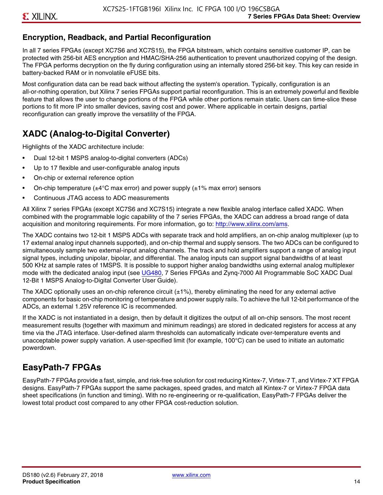# **Encryption, Readback, and Partial Reconfiguration**

In all 7 series FPGAs (except XC7S6 and XC7S15), the FPGA bitstream, which contains sensitive customer IP, can be protected with 256-bit AES encryption and HMAC/SHA-256 authentication to prevent unauthorized copying of the design. The FPGA performs decryption on the fly during configuration using an internally stored 256-bit key. This key can reside in battery-backed RAM or in nonvolatile eFUSE bits.

Most configuration data can be read back without affecting the system's operation. Typically, configuration is an all-or-nothing operation, but Xilinx 7 series FPGAs support partial reconfiguration. This is an extremely powerful and flexible feature that allows the user to change portions of the FPGA while other portions remain static. Users can time-slice these portions to fit more IP into smaller devices, saving cost and power. Where applicable in certain designs, partial reconfiguration can greatly improve the versatility of the FPGA.

# **XADC (Analog-to-Digital Converter)**

Highlights of the XADC architecture include:

- Dual 12-bit 1 MSPS analog-to-digital converters (ADCs)
- Up to 17 flexible and user-configurable analog inputs
- On-chip or external reference option
- On-chip temperature ( $\pm 4^{\circ}$ C max error) and power supply ( $\pm 1\%$  max error) sensors
- Continuous JTAG access to ADC measurements

All Xilinx 7 series FPGAs (except XC7S6 and XC7S15) integrate a new flexible analog interface called XADC. When combined with the programmable logic capability of the 7 series FPGAs, the XADC can address a broad range of data acquisition and monitoring requirements. For more information, go to: [http://www.xilinx.com/ams.](http://www.xilinx.com/ams)

The XADC contains two 12-bit 1 MSPS ADCs with separate track and hold amplifiers, an on-chip analog multiplexer (up to 17 external analog input channels supported), and on-chip thermal and supply sensors. The two ADCs can be configured to simultaneously sample two external-input analog channels. The track and hold amplifiers support a range of analog input signal types, including unipolar, bipolar, and differential. The analog inputs can support signal bandwidths of at least 500 KHz at sample rates of 1MSPS. It is possible to support higher analog bandwidths using external analog multiplexer mode with the dedicated analog input (see [UG480](http://www.xilinx.com/support/documentation/user_guides/ug480_7Series_XADC.pdf), 7 Series FPGAs and Zynq-7000 All Programmable SoC XADC Dual 12-Bit 1 MSPS Analog-to-Digital Converter User Guide)*.*

The XADC optionally uses an on-chip reference circuit  $(\pm 1\%)$ , thereby eliminating the need for any external active components for basic on-chip monitoring of temperature and power supply rails. To achieve the full 12-bit performance of the ADCs, an external 1.25V reference IC is recommended.

If the XADC is not instantiated in a design, then by default it digitizes the output of all on-chip sensors. The most recent measurement results (together with maximum and minimum readings) are stored in dedicated registers for access at any time via the JTAG interface. User-defined alarm thresholds can automatically indicate over-temperature events and unacceptable power supply variation. A user-specified limit (for example, 100°C) can be used to initiate an automatic powerdown.

# **EasyPath-7 FPGAs**

EasyPath-7 FPGAs provide a fast, simple, and risk-free solution for cost reducing Kintex-7, Virtex-7 T, and Virtex-7 XT FPGA designs. EasyPath-7 FPGAs support the same packages, speed grades, and match all Kintex-7 or Virtex-7 FPGA data sheet specifications (in function and timing). With no re-engineering or re-qualification, EasyPath-7 FPGAs deliver the lowest total product cost compared to any other FPGA cost-reduction solution.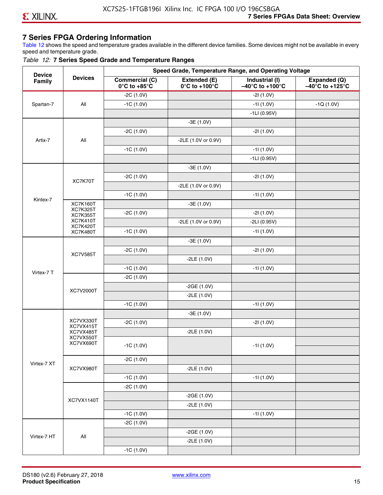### **7 Series FPGA Ordering Information**

Table 12 shows the speed and temperature grades available in the different device families. Some devices might not be available in every speed and temperature grade.

#### *Table 12:* **7 Series Speed Grade and Temperature Ranges**

| <b>Device</b> |                                    |                                                        |                                                    | Speed Grade, Temperature Range, and Operating Voltage  |                                                      |
|---------------|------------------------------------|--------------------------------------------------------|----------------------------------------------------|--------------------------------------------------------|------------------------------------------------------|
| Family        | <b>Devices</b>                     | <b>Commercial (C)</b><br>$0^\circ$ C to +85 $^\circ$ C | Extended (E)<br>$0^{\circ}$ C to +100 $^{\circ}$ C | Industrial (I)<br>$-40^{\circ}$ C to +100 $^{\circ}$ C | Expanded (Q)<br>$-40^{\circ}$ C to +125 $^{\circ}$ C |
|               |                                    | $-2C(1.0V)$                                            |                                                    | $-21(1.0V)$                                            |                                                      |
| Spartan-7     | All                                | $-1C(1.0V)$                                            |                                                    | $-11(1.0V)$                                            | $-1Q(1.0V)$                                          |
|               |                                    |                                                        |                                                    | $-1LI(0.95V)$                                          |                                                      |
|               |                                    |                                                        | $-3E(1.0V)$                                        |                                                        |                                                      |
|               |                                    | $-2C(1.0V)$                                            |                                                    | $-21(1.0V)$                                            |                                                      |
| Artix-7       | All                                |                                                        | -2LE (1.0V or 0.9V)                                |                                                        |                                                      |
|               |                                    | $-1C(1.0V)$                                            |                                                    | $-11(1.0V)$                                            |                                                      |
|               |                                    |                                                        |                                                    | $-1LI(0.95V)$                                          |                                                      |
|               |                                    |                                                        | $-3E(1.0V)$                                        |                                                        |                                                      |
|               | XC7K70T                            | $-2C(1.0V)$                                            |                                                    | $-21(1.0V)$                                            |                                                      |
|               |                                    |                                                        | -2LE (1.0V or 0.9V)                                |                                                        |                                                      |
|               |                                    | $-1C(1.0V)$                                            |                                                    | $-11(1.0V)$                                            |                                                      |
| Kintex-7      | <b>XC7K160T</b>                    |                                                        | $-3E(1.0V)$                                        |                                                        |                                                      |
|               | <b>XC7K325T</b><br><b>XC7K355T</b> | $-2C(1.0V)$                                            |                                                    | $-21(1.0V)$                                            |                                                      |
|               | <b>XC7K410T</b>                    |                                                        | -2LE (1.0V or 0.9V)                                | $-2LI(0.95V)$                                          |                                                      |
|               | <b>XC7K420T</b><br><b>XC7K480T</b> | $-1C(1.0V)$                                            |                                                    | $-11(1.0V)$                                            |                                                      |
|               |                                    |                                                        | $-3E(1.0V)$                                        |                                                        |                                                      |
|               |                                    | $-2C(1.0V)$                                            |                                                    | $-21(1.0V)$                                            |                                                      |
|               | <b>XC7V585T</b>                    |                                                        | $-2LE(1.0V)$                                       |                                                        |                                                      |
|               |                                    | $-1C(1.0V)$                                            |                                                    | $-11(1.0V)$                                            |                                                      |
| Virtex-7 T    |                                    | $-2C(1.0V)$                                            |                                                    |                                                        |                                                      |
|               |                                    |                                                        | $-2GE(1.0V)$                                       |                                                        |                                                      |
|               | XC7V2000T                          |                                                        | $-2LE(1.0V)$                                       |                                                        |                                                      |
|               |                                    | $-1C(1.0V)$                                            |                                                    | $-11(1.0V)$                                            |                                                      |
|               |                                    |                                                        | $-3E(1.0V)$                                        |                                                        |                                                      |
|               | XC7VX330T                          | $-2C(1.0V)$                                            |                                                    | $-21(1.0V)$                                            |                                                      |
|               | XC7VX415T<br>XC7VX485T             |                                                        | $-2LE(1.0V)$                                       |                                                        |                                                      |
|               | XC7VX550T<br>XC7VX690T             |                                                        |                                                    |                                                        |                                                      |
|               |                                    | $-1C(1.0V)$                                            |                                                    | $-11(1.0V)$                                            |                                                      |
|               |                                    | $-2C(1.0V)$                                            |                                                    |                                                        |                                                      |
| Virtex-7 XT   | XC7VX980T                          |                                                        | $-2LE(1.0V)$                                       |                                                        |                                                      |
|               |                                    | $-1C(1.0V)$                                            |                                                    | $-11(1.0V)$                                            |                                                      |
|               |                                    | $-2C(1.0V)$                                            |                                                    |                                                        |                                                      |
|               |                                    |                                                        | $-2GE(1.0V)$                                       |                                                        |                                                      |
|               | XC7VX1140T                         |                                                        | $-2LE(1.0V)$                                       |                                                        |                                                      |
|               |                                    | $-1C(1.0V)$                                            |                                                    | $-11(1.0V)$                                            |                                                      |
|               |                                    | $-2C(1.0V)$                                            |                                                    |                                                        |                                                      |
|               |                                    |                                                        | $-2GE(1.0V)$                                       |                                                        |                                                      |
| Virtex-7 HT   | All                                |                                                        | $-2LE(1.0V)$                                       |                                                        |                                                      |
|               |                                    | $-1C(1.0V)$                                            |                                                    |                                                        |                                                      |
|               |                                    |                                                        |                                                    |                                                        |                                                      |

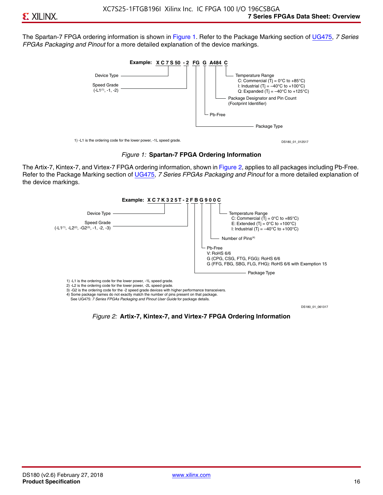The Spartan-7 FPGA ordering information is shown in Figure 1. Refer to the Package Marking section of [UG475,](http://www.xilinx.com/support/documentation/user_guides/ug475_7Series_Pkg_Pinout.pdf) *7 Series FPGAs Packaging and Pinout* for a more detailed explanation of the device markings.





The Artix-7, Kintex-7, and Virtex-7 FPGA ordering information, shown in Figure 2, applies to all packages including Pb-Free. Refer to the Package Marking section of [UG475](http://www.xilinx.com/support/documentation/user_guides/ug475_7Series_Pkg_Pinout.pdf), *7 Series FPGAs Packaging and Pinout* for a more detailed explanation of the device markings.



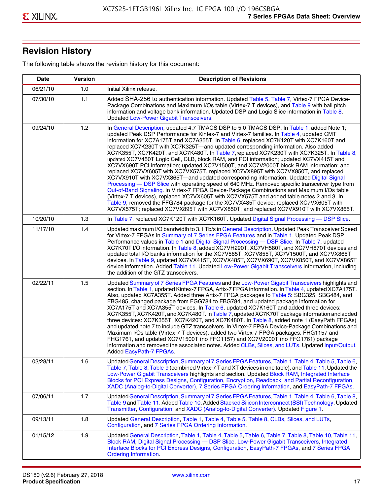# **Revision History**

The following table shows the revision history for this document:

| <b>Date</b> | <b>Version</b> | <b>Description of Revisions</b>                                                                                                                                                                                                                                                                                                                                                                                                                                                                                                                                                                                                                                                                                                                                                                                                                                                                                                                                                                                                                                                                                                                                                                                                                                                                                       |
|-------------|----------------|-----------------------------------------------------------------------------------------------------------------------------------------------------------------------------------------------------------------------------------------------------------------------------------------------------------------------------------------------------------------------------------------------------------------------------------------------------------------------------------------------------------------------------------------------------------------------------------------------------------------------------------------------------------------------------------------------------------------------------------------------------------------------------------------------------------------------------------------------------------------------------------------------------------------------------------------------------------------------------------------------------------------------------------------------------------------------------------------------------------------------------------------------------------------------------------------------------------------------------------------------------------------------------------------------------------------------|
| 06/21/10    | 1.0            | Initial Xilinx release.                                                                                                                                                                                                                                                                                                                                                                                                                                                                                                                                                                                                                                                                                                                                                                                                                                                                                                                                                                                                                                                                                                                                                                                                                                                                                               |
| 07/30/10    | 1.1            | Added SHA-256 to authentication information. Updated Table 5, Table 7, Virtex-7 FPGA Device-<br>Package Combinations and Maximum I/Os table (Virtex-7 T devices), and Table 9 with ball pitch<br>information and voltage bank information. Updated DSP and Logic Slice information in Table 8.<br><b>Updated Low-Power Gigabit Transceivers.</b>                                                                                                                                                                                                                                                                                                                                                                                                                                                                                                                                                                                                                                                                                                                                                                                                                                                                                                                                                                      |
| 09/24/10    | 1.2            | In General Description, updated 4.7 TMACS DSP to 5.0 TMACS DSP. In Table 1, added Note 1;<br>updated Peak DSP Performance for Kintex-7 and Virtex-7 families. In Table 4, updated CMT<br>information for XC7A175T and XC7A355T. In Table 6, replaced XC7K120T with XC7K160T and<br>replaced XC7K230T with XC7K325T-and updated corresponding information. Also added<br>XC7K355T, XC7K420T, and XC7K480T. In Table 7, replaced XC7K230T with XC7K325T. In Table 8,<br>updated XC7V450T Logic Cell, CLB, block RAM, and PCI information; updated XC7VX415T and<br>XC7VX690T PCI information; updated XC7V1500T, and XC7V2000T block RAM information; and<br>replaced XC7VX605T with XC7VX575T, replaced XC7VX895T with XC7VX850T, and replaced<br>XC7VX910T with XC7VX865T-and updated corresponding information. Updated Digital Signal<br>Processing - DSP Slice with operating speed of 640 MHz. Removed specific transceiver type from<br>Out-of-Band Signaling. In Virtex-7 FPGA Device-Package Combinations and Maximum I/Os table<br>(Virtex-7 T devices), replaced XC7VX605T with XC7VX575T and added table notes 2 and 3. In<br>Table 9, removed the FFG784 package for the XC7VX485T device; replaced XC7VX605T with<br>XC7VX575T; replaced XC7VX895T with XC7VX850T; and replaced XC7VX910T with XC7VX865T. |
| 10/20/10    | 1.3            | In Table 7, replaced XC7K120T with XC7K160T. Updated Digital Signal Processing - DSP Slice.                                                                                                                                                                                                                                                                                                                                                                                                                                                                                                                                                                                                                                                                                                                                                                                                                                                                                                                                                                                                                                                                                                                                                                                                                           |
| 11/17/10    | 1.4            | Updated maximum I/O bandwidth to 3.1 Tb/s in General Description. Updated Peak Transceiver Speed<br>for Virtex-7 FPGAs in Summary of 7 Series FPGA Features and in Table 1. Updated Peak DSP<br>Performance values in Table 1 and Digital Signal Processing - DSP Slice. In Table 7, updated<br>XC7K70T I/O information. In Table 8, added XC7VH290T, XC7VH580T, and XC7VH870T devices and<br>updated total I/O banks information for the XC7V585T, XC7V855T, XC7V1500T, and XC7VX865T<br>devices. In Table 9, updated XC7VX415T, XC7VX485T, XC7VX690T, XC7VX850T, and XC7VX865T<br>device information. Added Table 11. Updated Low-Power Gigabit Transceivers information, including<br>the addition of the GTZ transceivers.                                                                                                                                                                                                                                                                                                                                                                                                                                                                                                                                                                                        |
| 02/22/11    | 1.5            | Updated Summary of 7 Series FPGA Features and the Low-Power Gigabit Transceivers highlights and<br>section. In Table 1, updated Kintex-7 FPGA, Artix-7 FPGA information. In Table 4, updated XC7A175T.<br>Also, updated XC7A355T. Added three Artix-7 FPGA packages to Table 5: SBG325, SBG484, and<br>FBG485, changed package from FGG784 to FBG784, and updated package information for<br>XC7A175T and XC7A355T devices. In Table 6, updated XC7K160T and added three devices:<br>XC7K355T, XC7K420T, and XC7K480T. In Table 7, updated XC7K70T package information and added<br>three devices: XC7K355T, XC7K420T, and XC7K480T. In Table 8, added note 1 (EasyPath FPGAs)<br>and updated note 7 to include GTZ transceivers. In Virtex-7 FPGA Device-Package Combinations and<br>Maximum I/Os table (Virtex-7 T devices), added two Virtex-7 FPGA packages: FHG1157 and<br>FHG1761, and updated XC7V1500T (no FFG1157) and XC7V2000T (no FFG1761) package<br>information and removed the associated notes. Added CLBs, Slices, and LUTs. Updated Input/Output.<br>Added EasyPath-7 FPGAs.                                                                                                                                                                                                                        |
| 03/28/11    | 1.6            | Updated General Description, Summary of 7 Series FPGA Features, Table 1, Table 4, Table 5, Table 6,<br>Table 7, Table 8, Table 9 (combined Virtex-7 T and XT devices in one table), and Table 11. Updated the<br>Low-Power Gigabit Transceivers highlights and section. Updated Block RAM, Integrated Interface<br>Blocks for PCI Express Designs, Configuration, Encryption, Readback, and Partial Reconfiguration,<br>XADC (Analog-to-Digital Converter), 7 Series FPGA Ordering Information, and EasyPath-7 FPGAs.                                                                                                                                                                                                                                                                                                                                                                                                                                                                                                                                                                                                                                                                                                                                                                                                 |
| 07/06/11    | 1.7            | Updated General Description, Summary of 7 Series FPGA Features, Table 1, Table 4, Table 6, Table 8,<br>Table 9 and Table 11. Added Table 10. Added Stacked Silicon Interconnect (SSI) Technology. Updated<br>Transmitter, Configuration, and XADC (Analog-to-Digital Converter). Updated Figure 1.                                                                                                                                                                                                                                                                                                                                                                                                                                                                                                                                                                                                                                                                                                                                                                                                                                                                                                                                                                                                                    |
| 09/13/11    | 1.8            | Updated General Description, Table 1, Table 4, Table 5, Table 8, CLBs, Slices, and LUTs,<br>Configuration, and 7 Series FPGA Ordering Information.                                                                                                                                                                                                                                                                                                                                                                                                                                                                                                                                                                                                                                                                                                                                                                                                                                                                                                                                                                                                                                                                                                                                                                    |
| 01/15/12    | 1.9            | Updated General Description, Table 1, Table 4, Table 5, Table 6, Table 7, Table 8, Table 10, Table 11,<br>Block RAM, Digital Signal Processing - DSP Slice, Low-Power Gigabit Transceivers, Integrated<br>Interface Blocks for PCI Express Designs, Configuration, EasyPath-7 FPGAs, and 7 Series FPGA<br><b>Ordering Information.</b>                                                                                                                                                                                                                                                                                                                                                                                                                                                                                                                                                                                                                                                                                                                                                                                                                                                                                                                                                                                |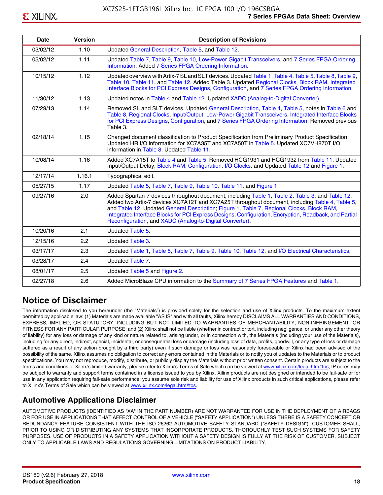| <b>Date</b> | <b>Version</b> | <b>Description of Revisions</b>                                                                                                                                                                                                                                                                                                                                                                                                                                     |
|-------------|----------------|---------------------------------------------------------------------------------------------------------------------------------------------------------------------------------------------------------------------------------------------------------------------------------------------------------------------------------------------------------------------------------------------------------------------------------------------------------------------|
| 03/02/12    | 1.10           | Updated General Description, Table 5, and Table 12.                                                                                                                                                                                                                                                                                                                                                                                                                 |
| 05/02/12    | 1.11           | Updated Table 7, Table 9, Table 10, Low-Power Gigabit Transceivers, and 7 Series FPGA Ordering<br>Information. Added 7 Series FPGA Ordering Information.                                                                                                                                                                                                                                                                                                            |
| 10/15/12    | 1.12           | Updated overview with Artix-7 SL and SLT devices. Updated Table 1, Table 4, Table 5, Table 8, Table 9,<br>Table 10, Table 11, and Table 12. Added Table 3. Updated Regional Clocks, Block RAM, Integrated<br>Interface Blocks for PCI Express Designs, Configuration, and 7 Series FPGA Ordering Information.                                                                                                                                                       |
| 11/30/12    | 1.13           | Updated notes in Table 4 and Table 12. Updated XADC (Analog-to-Digital Converter).                                                                                                                                                                                                                                                                                                                                                                                  |
| 07/29/13    | 1.14           | Removed SL and SLT devices. Updated General Description, Table 4, Table 5, notes in Table 6 and<br>Table 8, Regional Clocks, Input/Output, Low-Power Gigabit Transceivers, Integrated Interface Blocks<br>for PCI Express Designs, Configuration, and 7 Series FPGA Ordering Information. Removed previous<br>Table 3.                                                                                                                                              |
| 02/18/14    | 1.15           | Changed document classification to Product Specification from Preliminary Product Specification.<br>Updated HR I/O information for XC7A35T and XC7A50T in Table 5. Updated XC7VH870T I/O<br>information in Table 8. Updated Table 11.                                                                                                                                                                                                                               |
| 10/08/14    | 1.16           | Added XC7A15T to Table 4 and Table 5. Removed HCG1931 and HCG1932 from Table 11. Updated<br>Input/Output Delay; Block RAM; Configuration; I/O Clocks; and Updated Table 12 and Figure 1.                                                                                                                                                                                                                                                                            |
| 12/17/14    | 1.16.1         | Typographical edit.                                                                                                                                                                                                                                                                                                                                                                                                                                                 |
| 05/27/15    | 1.17           | Updated Table 5, Table 7, Table 9, Table 10, Table 11, and Figure 1.                                                                                                                                                                                                                                                                                                                                                                                                |
| 09/27/16    | 2.0            | Added Spartan-7 devices throughout document, including Table 1, Table 2, Table 3, and Table 12.<br>Added two Artix-7 devices XC7A12T and XC7A25T throughout document, including Table 4, Table 5,<br>and Table 12. Updated General Description; Figure 1, Table 7, Regional Clocks, Block RAM,<br>Integrated Interface Blocks for PCI Express Designs, Configuration, Encryption, Readback, and Partial<br>Reconfiguration, and XADC (Analog-to-Digital Converter). |
| 10/20/16    | 2.1            | Updated Table 5.                                                                                                                                                                                                                                                                                                                                                                                                                                                    |
| 12/15/16    | 2.2            | Updated Table 3.                                                                                                                                                                                                                                                                                                                                                                                                                                                    |
| 03/17/17    | 2.3            | Updated Table 1, Table 5, Table 7, Table 9, Table 10, Table 12, and I/O Electrical Characteristics.                                                                                                                                                                                                                                                                                                                                                                 |
| 03/28/17    | 2.4            | Updated Table 7.                                                                                                                                                                                                                                                                                                                                                                                                                                                    |
| 08/01/17    | 2.5            | Updated Table 5 and Figure 2.                                                                                                                                                                                                                                                                                                                                                                                                                                       |
| 02/27/18    | 2.6            | Added MicroBlaze CPU information to the Summary of 7 Series FPGA Features and Table 1.                                                                                                                                                                                                                                                                                                                                                                              |

# **Notice of Disclaimer**

The information disclosed to you hereunder (the "Materials") is provided solely for the selection and use of Xilinx products. To the maximum extent permitted by applicable law: (1) Materials are made available "AS IS" and with all faults, Xilinx hereby DISCLAIMS ALL WARRANTIES AND CONDITIONS, EXPRESS, IMPLIED, OR STATUTORY, INCLUDING BUT NOT LIMITED TO WARRANTIES OF MERCHANTABILITY, NON-INFRINGEMENT, OR FITNESS FOR ANY PARTICULAR PURPOSE; and (2) Xilinx shall not be liable (whether in contract or tort, including negligence, or under any other theory of liability) for any loss or damage of any kind or nature related to, arising under, or in connection with, the Materials (including your use of the Materials), including for any direct, indirect, special, incidental, or consequential loss or damage (including loss of data, profits, goodwill, or any type of loss or damage suffered as a result of any action brought by a third party) even if such damage or loss was reasonably foreseeable or Xilinx had been advised of the possibility of the same. Xilinx assumes no obligation to correct any errors contained in the Materials or to notify you of updates to the Materials or to product specifications. You may not reproduce, modify, distribute, or publicly display the Materials without prior written consent. Certain products are subject to the terms and conditions of Xilinx's limited warranty, please refer to Xilinx's Terms of Sale which can be viewed at [www.xilinx.com/legal.htm#tos;](www.xilinx.com/legal.htm#tos) IP cores may be subject to warranty and support terms contained in a license issued to you by Xilinx. Xilinx products are not designed or intended to be fail-safe or for use in any application requiring fail-safe performance; you assume sole risk and liability for use of Xilinx products in such critical applications, please refer to Xilinx's Terms of Sale which can be viewed at <www.xilinx.com/legal.htm#tos>.

# **Automotive Applications Disclaimer**

AUTOMOTIVE PRODUCTS (IDENTIFIED AS "XA" IN THE PART NUMBER) ARE NOT WARRANTED FOR USE IN THE DEPLOYMENT OF AIRBAGS OR FOR USE IN APPLICATIONS THAT AFFECT CONTROL OF A VEHICLE ("SAFETY APPLICATION") UNLESS THERE IS A SAFETY CONCEPT OR REDUNDANCY FEATURE CONSISTENT WITH THE ISO 26262 AUTOMOTIVE SAFETY STANDARD ("SAFETY DESIGN"). CUSTOMER SHALL, PRIOR TO USING OR DISTRIBUTING ANY SYSTEMS THAT INCORPORATE PRODUCTS, THOROUGHLY TEST SUCH SYSTEMS FOR SAFETY PURPOSES. USE OF PRODUCTS IN A SAFETY APPLICATION WITHOUT A SAFETY DESIGN IS FULLY AT THE RISK OF CUSTOMER, SUBJECT ONLY TO APPLICABLE LAWS AND REGULATIONS GOVERNING LIMITATIONS ON PRODUCT LIABILITY.